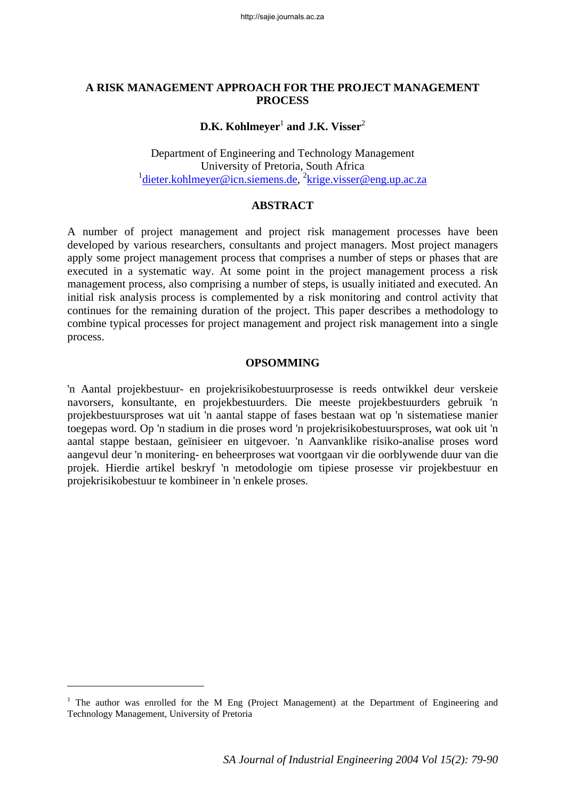#### **A RISK MANAGEMENT APPROACH FOR THE PROJECT MANAGEMENT PROCESS**

# $\mathbf{D}.\mathbf{K}.$  Kohlmeyer<sup>1</sup> and J.K. Visser<sup>2</sup>

Department of Engineering and Technology Management University of Pretoria, South Africa <sup>1</sup> dieter.kohlmeyer@icn.siemens.de, <sup>2</sup>krige.visser@eng.up.ac.za

#### **ABSTRACT**

A number of project management and project risk management processes have been developed by various researchers, consultants and project managers. Most project managers apply some project management process that comprises a number of steps or phases that are executed in a systematic way. At some point in the project management process a risk management process, also comprising a number of steps, is usually initiated and executed. An initial risk analysis process is complemented by a risk monitoring and control activity that continues for the remaining duration of the project. This paper describes a methodology to combine typical processes for project management and project risk management into a single process.

#### **OPSOMMING**

'n Aantal projekbestuur- en projekrisikobestuurprosesse is reeds ontwikkel deur verskeie navorsers, konsultante, en projekbestuurders. Die meeste projekbestuurders gebruik 'n projekbestuursproses wat uit 'n aantal stappe of fases bestaan wat op 'n sistematiese manier toegepas word. Op 'n stadium in die proses word 'n projekrisikobestuursproses, wat ook uit 'n aantal stappe bestaan, geïnisieer en uitgevoer. 'n Aanvanklike risiko-analise proses word aangevul deur 'n monitering- en beheerproses wat voortgaan vir die oorblywende duur van die projek. Hierdie artikel beskryf 'n metodologie om tipiese prosesse vir projekbestuur en projekrisikobestuur te kombineer in 'n enkele proses.

l

<sup>&</sup>lt;sup>1</sup> The author was enrolled for the M Eng (Project Management) at the Department of Engineering and Technology Management, University of Pretoria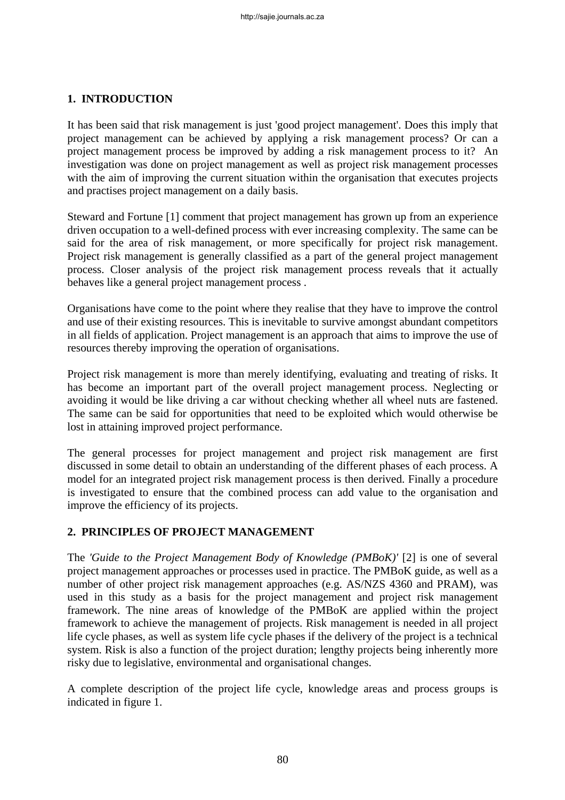# **1. INTRODUCTION**

It has been said that risk management is just 'good project management'. Does this imply that project management can be achieved by applying a risk management process? Or can a project management process be improved by adding a risk management process to it? An investigation was done on project management as well as project risk management processes with the aim of improving the current situation within the organisation that executes projects and practises project management on a daily basis.

Steward and Fortune [1] comment that project management has grown up from an experience driven occupation to a well-defined process with ever increasing complexity. The same can be said for the area of risk management, or more specifically for project risk management. Project risk management is generally classified as a part of the general project management process. Closer analysis of the project risk management process reveals that it actually behaves like a general project management process .

Organisations have come to the point where they realise that they have to improve the control and use of their existing resources. This is inevitable to survive amongst abundant competitors in all fields of application. Project management is an approach that aims to improve the use of resources thereby improving the operation of organisations.

Project risk management is more than merely identifying, evaluating and treating of risks. It has become an important part of the overall project management process. Neglecting or avoiding it would be like driving a car without checking whether all wheel nuts are fastened. The same can be said for opportunities that need to be exploited which would otherwise be lost in attaining improved project performance.

The general processes for project management and project risk management are first discussed in some detail to obtain an understanding of the different phases of each process. A model for an integrated project risk management process is then derived. Finally a procedure is investigated to ensure that the combined process can add value to the organisation and improve the efficiency of its projects.

#### **2. PRINCIPLES OF PROJECT MANAGEMENT**

The *'Guide to the Project Management Body of Knowledge (PMBoK)'* [2] is one of several project management approaches or processes used in practice. The PMBoK guide, as well as a number of other project risk management approaches (e.g. AS/NZS 4360 and PRAM), was used in this study as a basis for the project management and project risk management framework. The nine areas of knowledge of the PMBoK are applied within the project framework to achieve the management of projects. Risk management is needed in all project life cycle phases, as well as system life cycle phases if the delivery of the project is a technical system. Risk is also a function of the project duration; lengthy projects being inherently more risky due to legislative, environmental and organisational changes.

A complete description of the project life cycle, knowledge areas and process groups is indicated in figure 1.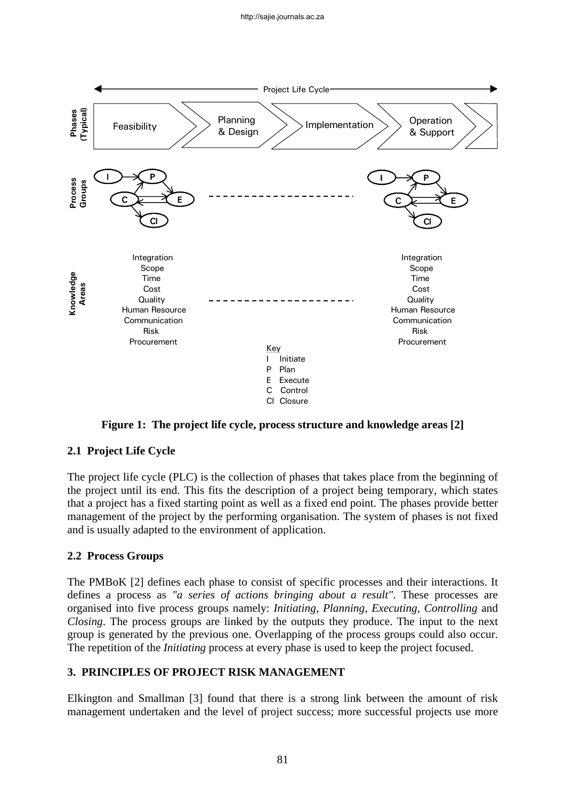

**Figure 1: The project life cycle, process structure and knowledge areas [2]** 

# **2.1 Project Life Cycle**

The project life cycle (PLC) is the collection of phases that takes place from the beginning of the project until its end. This fits the description of a project being temporary, which states that a project has a fixed starting point as well as a fixed end point. The phases provide better management of the project by the performing organisation. The system of phases is not fixed and is usually adapted to the environment of application.

# **2.2 Process Groups**

The PMBoK [2] defines each phase to consist of specific processes and their interactions. It defines a process as *"a series of actions bringing about a result"*. These processes are organised into five process groups namely: *Initiating*, *Planning, Executing, Controlling* and *Closing*. The process groups are linked by the outputs they produce. The input to the next group is generated by the previous one. Overlapping of the process groups could also occur. The repetition of the *Initiating* process at every phase is used to keep the project focused.

# **3. PRINCIPLES OF PROJECT RISK MANAGEMENT**

Elkington and Smallman [3] found that there is a strong link between the amount of risk management undertaken and the level of project success; more successful projects use more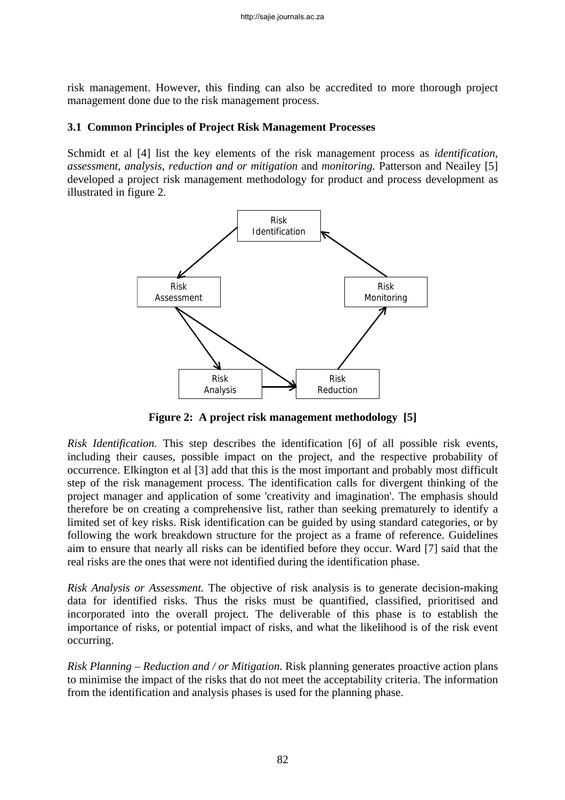risk management. However, this finding can also be accredited to more thorough project management done due to the risk management process.

#### **3.1 Common Principles of Project Risk Management Processes**

Schmidt et al [4] list the key elements of the risk management process as *identification*, *assessment*, *analysis*, *reduction and or mitigation* and *monitoring*. Patterson and Neailey [5] developed a project risk management methodology for product and process development as illustrated in figure 2.



**Figure 2: A project risk management methodology [5]** 

*Risk Identification.* This step describes the identification [6] of all possible risk events, including their causes, possible impact on the project, and the respective probability of occurrence. Elkington et al [3] add that this is the most important and probably most difficult step of the risk management process. The identification calls for divergent thinking of the project manager and application of some 'creativity and imagination'. The emphasis should therefore be on creating a comprehensive list, rather than seeking prematurely to identify a limited set of key risks. Risk identification can be guided by using standard categories, or by following the work breakdown structure for the project as a frame of reference. Guidelines aim to ensure that nearly all risks can be identified before they occur. Ward [7] said that the real risks are the ones that were not identified during the identification phase.

*Risk Analysis or Assessment.* The objective of risk analysis is to generate decision-making data for identified risks. Thus the risks must be quantified, classified, prioritised and incorporated into the overall project. The deliverable of this phase is to establish the importance of risks, or potential impact of risks, and what the likelihood is of the risk event occurring.

*Risk Planning – Reduction and / or Mitigation.* Risk planning generates proactive action plans to minimise the impact of the risks that do not meet the acceptability criteria. The information from the identification and analysis phases is used for the planning phase.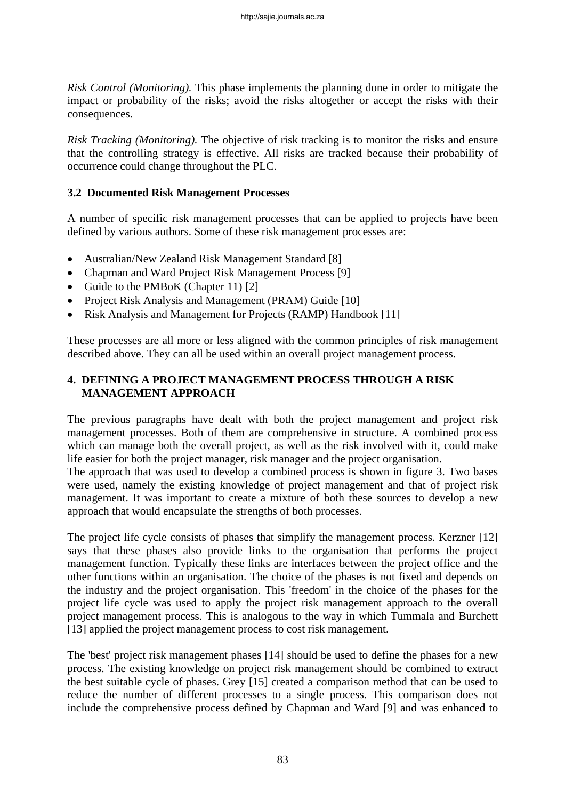*Risk Control (Monitoring).* This phase implements the planning done in order to mitigate the impact or probability of the risks; avoid the risks altogether or accept the risks with their consequences.

*Risk Tracking (Monitoring).* The objective of risk tracking is to monitor the risks and ensure that the controlling strategy is effective. All risks are tracked because their probability of occurrence could change throughout the PLC.

#### **3.2 Documented Risk Management Processes**

A number of specific risk management processes that can be applied to projects have been defined by various authors. Some of these risk management processes are:

- Australian/New Zealand Risk Management Standard [8]
- Chapman and Ward Project Risk Management Process [9]
- Guide to the PMBoK (Chapter 11) [2]
- Project Risk Analysis and Management (PRAM) Guide [10]
- Risk Analysis and Management for Projects (RAMP) Handbook [11]

These processes are all more or less aligned with the common principles of risk management described above. They can all be used within an overall project management process.

# **4. DEFINING A PROJECT MANAGEMENT PROCESS THROUGH A RISK MANAGEMENT APPROACH**

The previous paragraphs have dealt with both the project management and project risk management processes. Both of them are comprehensive in structure. A combined process which can manage both the overall project, as well as the risk involved with it, could make life easier for both the project manager, risk manager and the project organisation.

The approach that was used to develop a combined process is shown in figure 3. Two bases were used, namely the existing knowledge of project management and that of project risk management. It was important to create a mixture of both these sources to develop a new approach that would encapsulate the strengths of both processes.

The project life cycle consists of phases that simplify the management process. Kerzner [12] says that these phases also provide links to the organisation that performs the project management function. Typically these links are interfaces between the project office and the other functions within an organisation. The choice of the phases is not fixed and depends on the industry and the project organisation. This 'freedom' in the choice of the phases for the project life cycle was used to apply the project risk management approach to the overall project management process. This is analogous to the way in which Tummala and Burchett [13] applied the project management process to cost risk management.

The 'best' project risk management phases [14] should be used to define the phases for a new process. The existing knowledge on project risk management should be combined to extract the best suitable cycle of phases. Grey [15] created a comparison method that can be used to reduce the number of different processes to a single process. This comparison does not include the comprehensive process defined by Chapman and Ward [9] and was enhanced to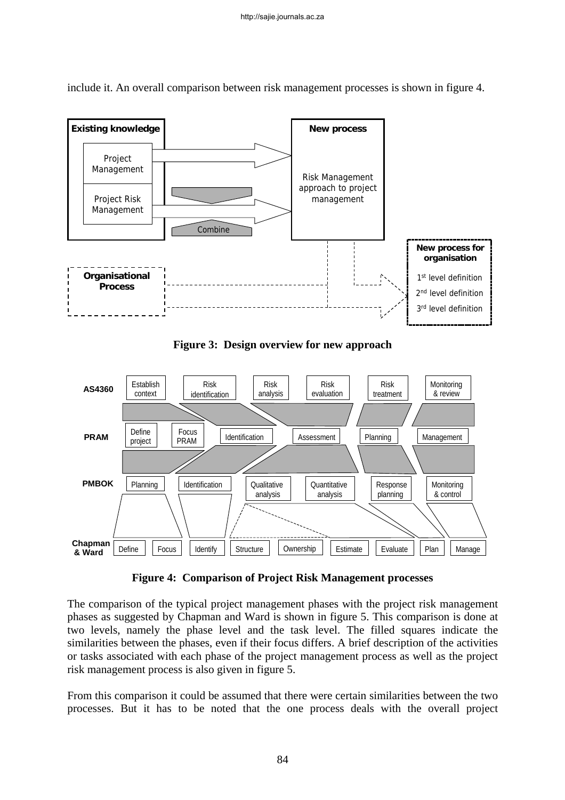

include it. An overall comparison between risk management processes is shown in figure 4.

**Figure 3: Design overview for new approach** 



**Figure 4: Comparison of Project Risk Management processes** 

The comparison of the typical project management phases with the project risk management phases as suggested by Chapman and Ward is shown in figure 5. This comparison is done at two levels, namely the phase level and the task level. The filled squares indicate the similarities between the phases, even if their focus differs. A brief description of the activities or tasks associated with each phase of the project management process as well as the project risk management process is also given in figure 5.

From this comparison it could be assumed that there were certain similarities between the two processes. But it has to be noted that the one process deals with the overall project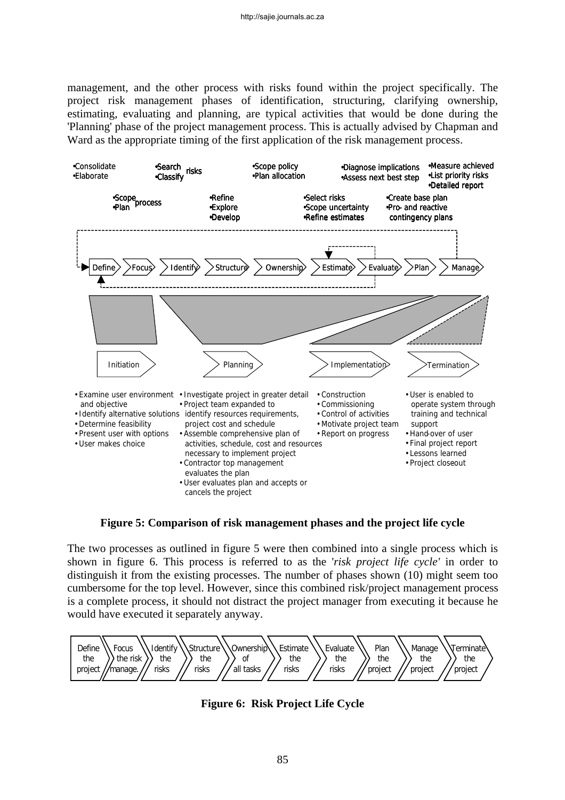management, and the other process with risks found within the project specifically. The project risk management phases of identification, structuring, clarifying ownership, estimating, evaluating and planning, are typical activities that would be done during the 'Planning' phase of the project management process. This is actually advised by Chapman and Ward as the appropriate timing of the first application of the risk management process.



**Figure 5: Comparison of risk management phases and the project life cycle** 

The two processes as outlined in figure 5 were then combined into a single process which is shown in figure 6. This process is referred to as the '*risk project life cycle'* in order to distinguish it from the existing processes. The number of phases shown (10) might seem too cumbersome for the top level. However, since this combined risk/project management process is a complete process, it should not distract the project manager from executing it because he would have executed it separately anyway.



**Figure 6: Risk Project Life Cycle**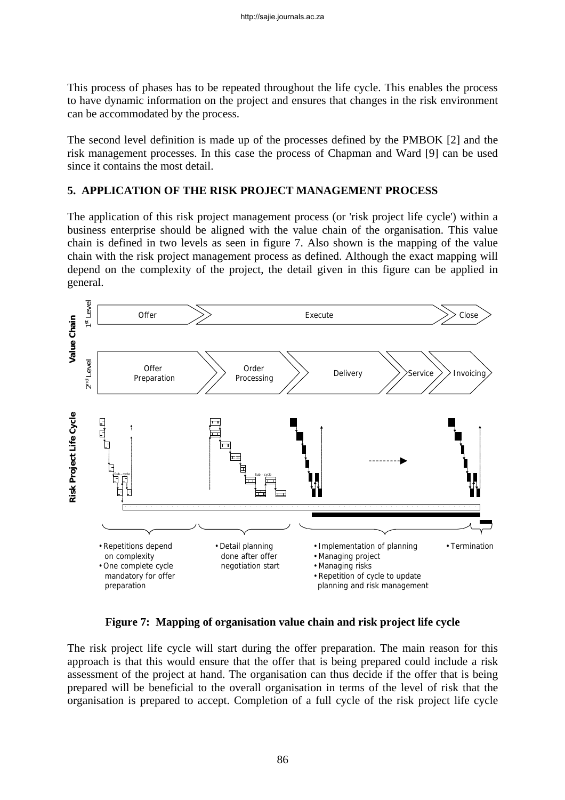This process of phases has to be repeated throughout the life cycle. This enables the process to have dynamic information on the project and ensures that changes in the risk environment can be accommodated by the process.

The second level definition is made up of the processes defined by the PMBOK [2] and the risk management processes. In this case the process of Chapman and Ward [9] can be used since it contains the most detail.

# **5. APPLICATION OF THE RISK PROJECT MANAGEMENT PROCESS**

The application of this risk project management process (or 'risk project life cycle') within a business enterprise should be aligned with the value chain of the organisation. This value chain is defined in two levels as seen in figure 7. Also shown is the mapping of the value chain with the risk project management process as defined. Although the exact mapping will depend on the complexity of the project, the detail given in this figure can be applied in general.



**Figure 7: Mapping of organisation value chain and risk project life cycle** 

The risk project life cycle will start during the offer preparation. The main reason for this approach is that this would ensure that the offer that is being prepared could include a risk assessment of the project at hand. The organisation can thus decide if the offer that is being prepared will be beneficial to the overall organisation in terms of the level of risk that the organisation is prepared to accept. Completion of a full cycle of the risk project life cycle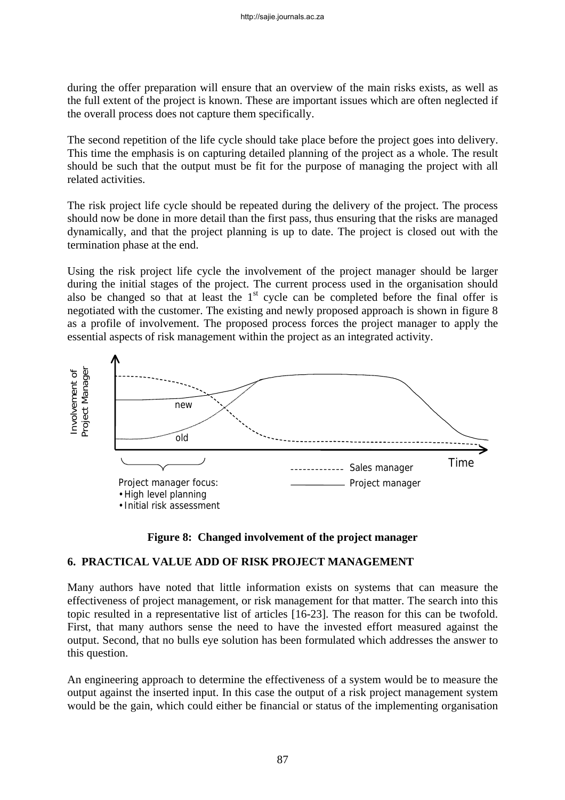during the offer preparation will ensure that an overview of the main risks exists, as well as the full extent of the project is known. These are important issues which are often neglected if the overall process does not capture them specifically.

The second repetition of the life cycle should take place before the project goes into delivery. This time the emphasis is on capturing detailed planning of the project as a whole. The result should be such that the output must be fit for the purpose of managing the project with all related activities.

The risk project life cycle should be repeated during the delivery of the project. The process should now be done in more detail than the first pass, thus ensuring that the risks are managed dynamically, and that the project planning is up to date. The project is closed out with the termination phase at the end.

Using the risk project life cycle the involvement of the project manager should be larger during the initial stages of the project. The current process used in the organisation should also be changed so that at least the  $1<sup>st</sup>$  cycle can be completed before the final offer is negotiated with the customer. The existing and newly proposed approach is shown in figure 8 as a profile of involvement. The proposed process forces the project manager to apply the essential aspects of risk management within the project as an integrated activity.





#### **6. PRACTICAL VALUE ADD OF RISK PROJECT MANAGEMENT**

Many authors have noted that little information exists on systems that can measure the effectiveness of project management, or risk management for that matter. The search into this topic resulted in a representative list of articles [16-23]. The reason for this can be twofold. First, that many authors sense the need to have the invested effort measured against the output. Second, that no bulls eye solution has been formulated which addresses the answer to this question.

An engineering approach to determine the effectiveness of a system would be to measure the output against the inserted input. In this case the output of a risk project management system would be the gain, which could either be financial or status of the implementing organisation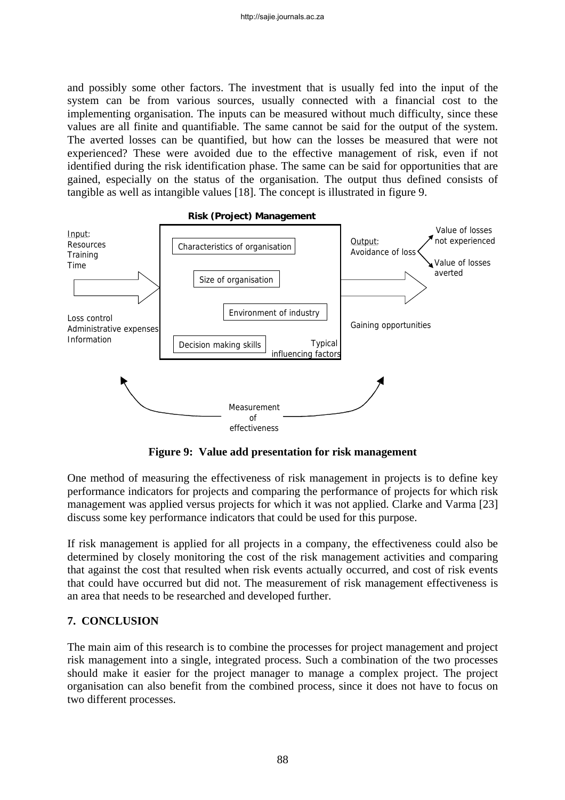and possibly some other factors. The investment that is usually fed into the input of the system can be from various sources, usually connected with a financial cost to the implementing organisation. The inputs can be measured without much difficulty, since these values are all finite and quantifiable. The same cannot be said for the output of the system. The averted losses can be quantified, but how can the losses be measured that were not experienced? These were avoided due to the effective management of risk, even if not identified during the risk identification phase. The same can be said for opportunities that are gained, especially on the status of the organisation. The output thus defined consists of tangible as well as intangible values [18]. The concept is illustrated in figure 9.



**Figure 9: Value add presentation for risk management** 

One method of measuring the effectiveness of risk management in projects is to define key performance indicators for projects and comparing the performance of projects for which risk management was applied versus projects for which it was not applied. Clarke and Varma [23] discuss some key performance indicators that could be used for this purpose.

If risk management is applied for all projects in a company, the effectiveness could also be determined by closely monitoring the cost of the risk management activities and comparing that against the cost that resulted when risk events actually occurred, and cost of risk events that could have occurred but did not. The measurement of risk management effectiveness is an area that needs to be researched and developed further.

# **7. CONCLUSION**

The main aim of this research is to combine the processes for project management and project risk management into a single, integrated process. Such a combination of the two processes should make it easier for the project manager to manage a complex project. The project organisation can also benefit from the combined process, since it does not have to focus on two different processes.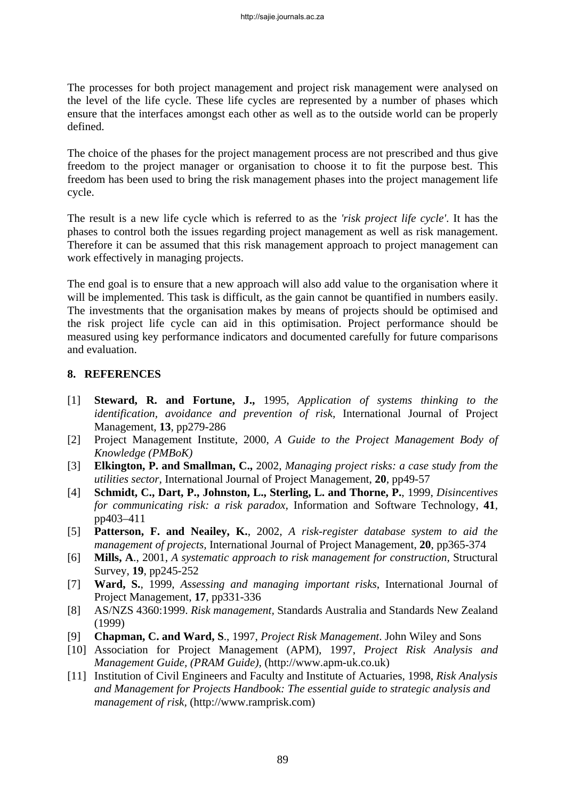The processes for both project management and project risk management were analysed on the level of the life cycle. These life cycles are represented by a number of phases which ensure that the interfaces amongst each other as well as to the outside world can be properly defined.

The choice of the phases for the project management process are not prescribed and thus give freedom to the project manager or organisation to choose it to fit the purpose best. This freedom has been used to bring the risk management phases into the project management life cycle.

The result is a new life cycle which is referred to as the *'risk project life cycle'*. It has the phases to control both the issues regarding project management as well as risk management. Therefore it can be assumed that this risk management approach to project management can work effectively in managing projects.

The end goal is to ensure that a new approach will also add value to the organisation where it will be implemented. This task is difficult, as the gain cannot be quantified in numbers easily. The investments that the organisation makes by means of projects should be optimised and the risk project life cycle can aid in this optimisation. Project performance should be measured using key performance indicators and documented carefully for future comparisons and evaluation.

#### **8. REFERENCES**

- [1] **Steward, R. and Fortune, J.,** 1995, *Application of systems thinking to the identification, avoidance and prevention of risk,* International Journal of Project Management, **13**, pp279-286
- [2] Project Management Institute, 2000, *A Guide to the Project Management Body of Knowledge (PMBoK)*
- [3] **Elkington, P. and Smallman, C.,** 2002, *Managing project risks: a case study from the utilities sector,* International Journal of Project Management, **20**, pp49-57
- [4] **Schmidt, C., Dart, P., Johnston, L., Sterling, L. and Thorne, P.**, 1999, *Disincentives for communicating risk: a risk paradox,* Information and Software Technology, **41**, pp403–411
- [5] **Patterson, F. and Neailey, K.**, 2002, *A risk-register database system to aid the management of projects,* International Journal of Project Management, **20**, pp365-374
- [6] **Mills, A**., 2001, *A systematic approach to risk management for construction,* Structural Survey, **19**, pp245-252
- [7] **Ward, S.**, 1999, *Assessing and managing important risks*, International Journal of Project Management, **17**, pp331-336
- [8] AS/NZS 4360:1999. *Risk management,* Standards Australia and Standards New Zealand (1999)
- [9] **Chapman, C. and Ward, S**., 1997, *Project Risk Management*. John Wiley and Sons
- [10] Association for Project Management (APM), 1997, *Project Risk Analysis and Management Guide, (PRAM Guide),* (http://www.apm-uk.co.uk)
- [11] Institution of Civil Engineers and Faculty and Institute of Actuaries, 1998, *Risk Analysis and Management for Projects Handbook: The essential guide to strategic analysis and management of risk,* (http://www.ramprisk.com)